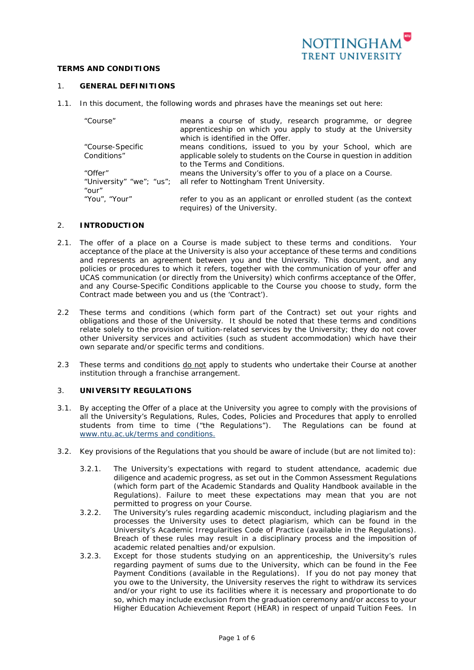

# **TERMS AND CONDITIONS**

### 1. **GENERAL DEFINITIONS**

1.1. In this document, the following words and phrases have the meanings set out here:

| "Course"         | means a course of study, research programme, or degree<br>apprenticeship on which you apply to study at the University<br>which is identified in the Offer. |
|------------------|-------------------------------------------------------------------------------------------------------------------------------------------------------------|
| "Course-Specific | means conditions, issued to you by your School, which are                                                                                                   |
| Conditions"      | applicable solely to students on the Course in question in addition                                                                                         |
|                  | to the Terms and Conditions.                                                                                                                                |
| "Offer"          | means the University's offer to you of a place on a Course.                                                                                                 |
|                  | "University" "we"; "us"; all refer to Nottingham Trent University.                                                                                          |
| " $Our"$         |                                                                                                                                                             |
| "You", "Your"    | refer to you as an applicant or enrolled student (as the context<br>requires) of the University.                                                            |

#### 2. **INTRODUCTION**

- 2.1. The offer of a place on a Course is made subject to these terms and conditions. Your acceptance of the place at the University is also your acceptance of these terms and conditions and represents an agreement between you and the University. This document, and any policies or procedures to which it refers, together with the communication of your offer and UCAS communication (or directly from the University) which confirms acceptance of the Offer, and any Course-Specific Conditions applicable to the Course you choose to study, form the Contract made between you and us (the 'Contract').
- 2.2 These terms and conditions (which form part of the Contract) set out your rights and obligations and those of the University. It should be noted that these terms and conditions relate solely to the provision of tuition-related services by the University; they do not cover other University services and activities (such as student accommodation) which have their own separate and/or specific terms and conditions.
- 2.3 These terms and conditions do not apply to students who undertake their Course at another institution through a franchise arrangement.

## 3. **UNIVERSITY REGULATIONS**

- 3.1. By accepting the Offer of a place at the University you agree to comply with the provisions of all the University's Regulations, Rules, Codes, Policies and Procedures that apply to enrolled students from time to time ("the Regulations"). The Regulations can be found at [www.ntu.ac.uk/terms](https://www4.ntu.ac.uk/admissions/policies/terms-conditions/index.html) and conditions.
- 3.2. Key provisions of the Regulations that you should be aware of include (but are not limited to):
	- 3.2.1. The University's expectations with regard to student attendance, academic due diligence and academic progress, as set out in the Common Assessment Regulations (which form part of the Academic Standards and Quality Handbook available in the Regulations). Failure to meet these expectations may mean that you are not permitted to progress on your Course.
	- 3.2.2. The University's rules regarding academic misconduct, including plagiarism and the processes the University uses to detect plagiarism, which can be found in the University's Academic Irregularities Code of Practice (available in the Regulations). Breach of these rules may result in a disciplinary process and the imposition of academic related penalties and/or expulsion.
	- 3.2.3. Except for those students studying on an apprenticeship, the University's rules regarding payment of sums due to the University, which can be found in the Fee Payment Conditions (available in the Regulations). If you do not pay money that you owe to the University, the University reserves the right to withdraw its services and/or your right to use its facilities where it is necessary and proportionate to do so, which may include exclusion from the graduation ceremony and/or access to your Higher Education Achievement Report (HEAR) in respect of unpaid Tuition Fees. In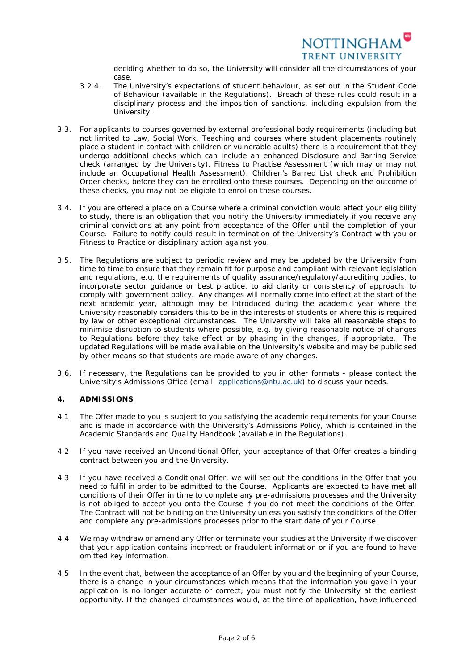

deciding whether to do so, the University will consider all the circumstances of your case.

- 3.2.4. The University's expectations of student behaviour, as set out in the Student Code of Behaviour (available in the Regulations). Breach of these rules could result in a disciplinary process and the imposition of sanctions, including expulsion from the University.
- 3.3. For applicants to courses governed by external professional body requirements (including but not limited to Law, Social Work, Teaching and courses where student placements routinely place a student in contact with children or vulnerable adults) there is a requirement that they undergo additional checks which can include an enhanced Disclosure and Barring Service check (arranged by the University), Fitness to Practise Assessment (which may or may not include an Occupational Health Assessment), Children's Barred List check and Prohibition Order checks, before they can be enrolled onto these courses. Depending on the outcome of these checks, you may not be eligible to enrol on these courses.
- 3.4. If you are offered a place on a Course where a criminal conviction would affect your eligibility to study, there is an obligation that you notify the University immediately if you receive any criminal convictions at any point from acceptance of the Offer until the completion of your Course. Failure to notify could result in termination of the University's Contract with you or Fitness to Practice or disciplinary action against you.
- 3.5. The Regulations are subject to periodic review and may be updated by the University from time to time to ensure that they remain fit for purpose and compliant with relevant legislation and regulations, e.g. the requirements of quality assurance/regulatory/accrediting bodies, to incorporate sector guidance or best practice, to aid clarity or consistency of approach, to comply with government policy. Any changes will normally come into effect at the start of the next academic year, although may be introduced during the academic year where the University reasonably considers this to be in the interests of students or where this is required by law or other exceptional circumstances. The University will take all reasonable steps to minimise disruption to students where possible, e.g. by giving reasonable notice of changes to Regulations before they take effect or by phasing in the changes, if appropriate. The updated Regulations will be made available on the University's website and may be publicised by other means so that students are made aware of any changes.
- 3.6. If necessary, the Regulations can be provided to you in other formats please contact the University's Admissions Office (email: [applications@ntu.ac.uk\)](mailto:applications@ntu.ac.uk) to discuss your needs.

## **4. ADMISSIONS**

- 4.1 The Offer made to you is subject to you satisfying the academic requirements for your Course and is made in accordance with the University's Admissions Policy, which is contained in the Academic Standards and Quality Handbook (available in the Regulations).
- 4.2 If you have received an Unconditional Offer, your acceptance of that Offer creates a binding contract between you and the University.
- 4.3 If you have received a Conditional Offer, we will set out the conditions in the Offer that you need to fulfil in order to be admitted to the Course. Applicants are expected to have met all conditions of their Offer in time to complete any pre-admissions processes and the University is not obliged to accept you onto the Course if you do not meet the conditions of the Offer. The Contract will not be binding on the University unless you satisfy the conditions of the Offer and complete any pre-admissions processes prior to the start date of your Course.
- 4.4 We may withdraw or amend any Offer or terminate your studies at the University if we discover that your application contains incorrect or fraudulent information or if you are found to have omitted key information.
- 4.5 In the event that, between the acceptance of an Offer by you and the beginning of your Course, there is a change in your circumstances which means that the information you gave in your application is no longer accurate or correct, you must notify the University at the earliest opportunity. If the changed circumstances would, at the time of application, have influenced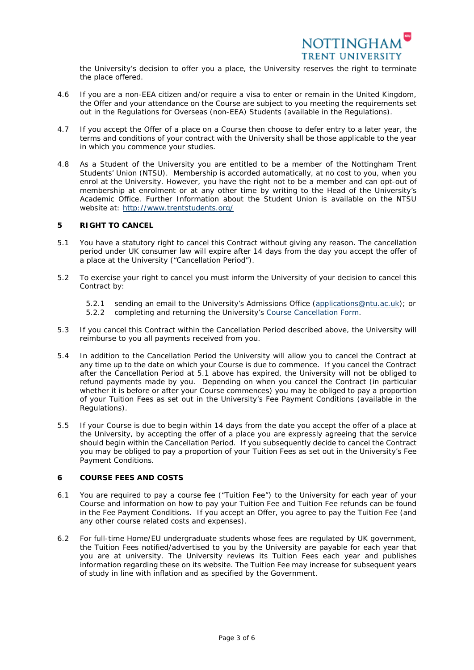

the University's decision to offer you a place, the University reserves the right to terminate the place offered.

- 4.6 If you are a non-EEA citizen and/or require a visa to enter or remain in the United Kingdom, the Offer and your attendance on the Course are subject to you meeting the requirements set out in the Regulations for Overseas (non-EEA) Students (available in the Regulations).
- 4.7 If you accept the Offer of a place on a Course then choose to defer entry to a later year, the terms and conditions of your contract with the University shall be those applicable to the year in which you commence your studies.
- 4.8 As a Student of the University you are entitled to be a member of the Nottingham Trent Students' Union (NTSU). Membership is accorded automatically, at no cost to you, when you enrol at the University. However, you have the right not to be a member and can opt-out of membership at enrolment or at any other time by writing to the Head of the University's Academic Office. Further Information about the Student Union is available on the NTSU website at:<http://www.trentstudents.org/>

### **5 RIGHT TO CANCEL**

- 5.1 You have a statutory right to cancel this Contract without giving any reason. The cancellation period under UK consumer law will expire after 14 days from the day you accept the offer of a place at the University ("Cancellation Period").
- 5.2 To exercise your right to cancel you must inform the University of your decision to cancel this Contract by:
	- 5.2.1 sending an email to the University's Admissions Office [\(applications@ntu.ac.uk\)](mailto:applications@ntu.ac.uk); or
	- 5.2.2 completing and returning the University's [Course Cancellation](https://www4.ntu.ac.uk/admissions/document-uploads/187333.pdf) Form.
- 5.3 If you cancel this Contract within the Cancellation Period described above, the University will reimburse to you all payments received from you.
- 5.4 In addition to the Cancellation Period the University will allow you to cancel the Contract at any time up to the date on which your Course is due to commence. If you cancel the Contract after the Cancellation Period at 5.1 above has expired, the University will not be obliged to refund payments made by you. Depending on when you cancel the Contract (in particular whether it is before or after your Course commences) you may be obliged to pay a proportion of your Tuition Fees as set out in the University's Fee Payment Conditions (available in the Regulations).
- 5.5 If your Course is due to begin within 14 days from the date you accept the offer of a place at the University, by accepting the offer of a place you are expressly agreeing that the service should begin within the Cancellation Period. If you subsequently decide to cancel the Contract you may be obliged to pay a proportion of your Tuition Fees as set out in the University's Fee Payment Conditions.

### **6 COURSE FEES AND COSTS**

- 6.1 You are required to pay a course fee ("Tuition Fee") to the University for each year of your Course and information on how to pay your Tuition Fee and Tuition Fee refunds can be found in the Fee Payment Conditions. If you accept an Offer, you agree to pay the Tuition Fee (and any other course related costs and expenses).
- 6.2 For full-time Home/EU undergraduate students whose fees are regulated by UK government, the Tuition Fees notified/advertised to you by the University are payable for each year that you are at university. The University reviews its Tuition Fees each year and publishes information regarding these on its website. The Tuition Fee may increase for subsequent years of study in line with inflation and as specified by the Government.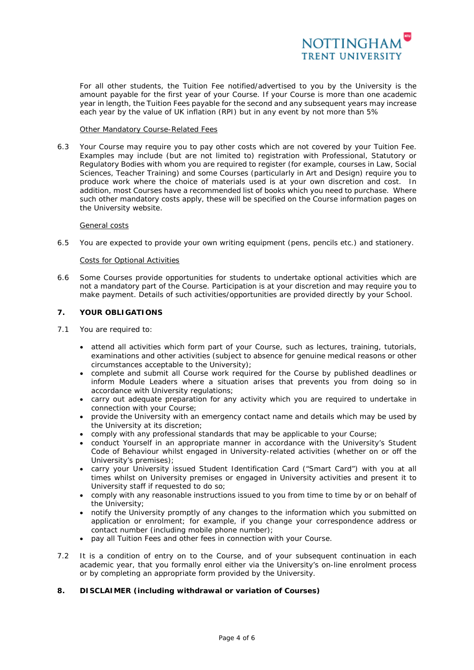

For all other students, the Tuition Fee notified/advertised to you by the University is the amount payable for the first year of your Course. If your Course is more than one academic year in length, the Tuition Fees payable for the second and any subsequent years may increase each year by the value of UK inflation (RPI) but in any event by not more than 5%

#### Other Mandatory Course-Related Fees

6.3 Your Course may require you to pay other costs which are not covered by your Tuition Fee. Examples may include (but are not limited to) registration with Professional, Statutory or Regulatory Bodies with whom you are required to register (for example, courses in Law, Social Sciences, Teacher Training) and some Courses (particularly in Art and Design) require you to produce work where the choice of materials used is at your own discretion and cost. In addition, most Courses have a recommended list of books which you need to purchase. Where such other mandatory costs apply, these will be specified on the Course information pages on the University website.

### General costs

6.5 You are expected to provide your own writing equipment (pens, pencils etc.) and stationery.

### Costs for Optional Activities

6.6 Some Courses provide opportunities for students to undertake optional activities which are not a mandatory part of the Course. Participation is at your discretion and may require you to make payment. Details of such activities/opportunities are provided directly by your School.

### **7. YOUR OBLIGATIONS**

- 7.1 You are required to:
	- attend all activities which form part of your Course, such as lectures, training, tutorials, examinations and other activities (subject to absence for genuine medical reasons or other circumstances acceptable to the University);
	- complete and submit all Course work required for the Course by published deadlines or inform Module Leaders where a situation arises that prevents you from doing so in accordance with University regulations;
	- carry out adequate preparation for any activity which you are required to undertake in connection with your Course;
	- provide the University with an emergency contact name and details which may be used by the University at its discretion;
	- comply with any professional standards that may be applicable to your Course;
	- conduct Yourself in an appropriate manner in accordance with the University's Student Code of Behaviour whilst engaged in University-related activities (whether on or off the University's premises);
	- carry your University issued Student Identification Card ("Smart Card") with you at all times whilst on University premises or engaged in University activities and present it to University staff if requested to do so;
	- comply with any reasonable instructions issued to you from time to time by or on behalf of the University;
	- notify the University promptly of any changes to the information which you submitted on application or enrolment; for example, if you change your correspondence address or contact number (including mobile phone number);
	- pay all Tuition Fees and other fees in connection with your Course.
- 7.2 It is a condition of entry on to the Course, and of your subsequent continuation in each academic year, that you formally enrol either via the University's on-line enrolment process or by completing an appropriate form provided by the University.

## **8. DISCLAIMER (including withdrawal or variation of Courses)**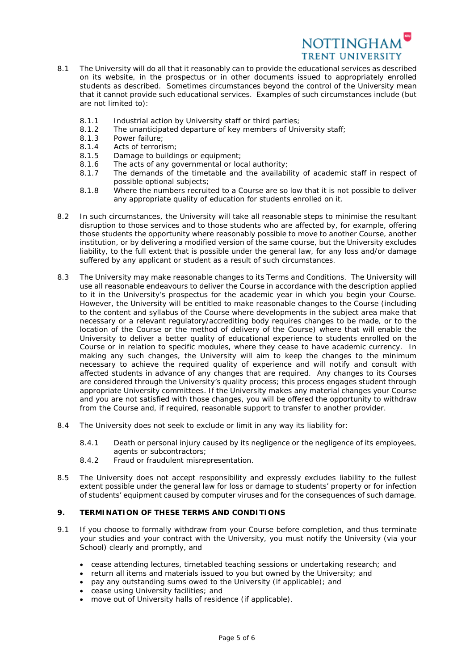

- 8.1 The University will do all that it reasonably can to provide the educational services as described on its website, in the prospectus or in other documents issued to appropriately enrolled students as described. Sometimes circumstances beyond the control of the University mean that it cannot provide such educational services. Examples of such circumstances include (but are not limited to):
	- 8.1.1 Industrial action by University staff or third parties;
	- 8.1.2 The unanticipated departure of key members of University staff;
	- 8.1.3 Power failure;
	- 8.1.4 Acts of terrorism;
	- 8.1.5 Damage to buildings or equipment;
	- 8.1.6 The acts of any governmental or local authority;<br>8.1.7 The demands of the timetable and the available
	- The demands of the timetable and the availability of academic staff in respect of possible optional subjects;
	- 8.1.8 Where the numbers recruited to a Course are so low that it is not possible to deliver any appropriate quality of education for students enrolled on it.
- 8.2 In such circumstances, the University will take all reasonable steps to minimise the resultant disruption to those services and to those students who are affected by, for example, offering those students the opportunity where reasonably possible to move to another Course, another institution, or by delivering a modified version of the same course, but the University excludes liability, to the full extent that is possible under the general law, for any loss and/or damage suffered by any applicant or student as a result of such circumstances.
- 8.3 The University may make reasonable changes to its Terms and Conditions. The University will use all reasonable endeavours to deliver the Course in accordance with the description applied to it in the University's prospectus for the academic year in which you begin your Course. However, the University will be entitled to make reasonable changes to the Course (including to the content and syllabus of the Course where developments in the subject area make that necessary or a relevant regulatory/accrediting body requires changes to be made, or to the location of the Course or the method of delivery of the Course) where that will enable the University to deliver a better quality of educational experience to students enrolled on the Course or in relation to specific modules, where they cease to have academic currency. In making any such changes, the University will aim to keep the changes to the minimum necessary to achieve the required quality of experience and will notify and consult with affected students in advance of any changes that are required. Any changes to its Courses are considered through the University's quality process; this process engages student through appropriate University committees. If the University makes any material changes your Course and you are not satisfied with those changes, you will be offered the opportunity to withdraw from the Course and, if required, reasonable support to transfer to another provider.
- 8.4 The University does not seek to exclude or limit in any way its liability for:
	- 8.4.1 Death or personal injury caused by its negligence or the negligence of its employees, agents or subcontractors;
	- 8.4.2 Fraud or fraudulent misrepresentation.
- 8.5 The University does not accept responsibility and expressly excludes liability to the fullest extent possible under the general law for loss or damage to students' property or for infection of students' equipment caused by computer viruses and for the consequences of such damage.

#### **9. TERMINATION OF THESE TERMS AND CONDITIONS**

- 9.1 If you choose to formally withdraw from your Course before completion, and thus terminate your studies and your contract with the University, you must notify the University (via your School) clearly and promptly, and
	- cease attending lectures, timetabled teaching sessions or undertaking research; and
	- return all items and materials issued to you but owned by the University; and
	- pay any outstanding sums owed to the University (if applicable); and
	- cease using University facilities; and
	- move out of University halls of residence (if applicable).